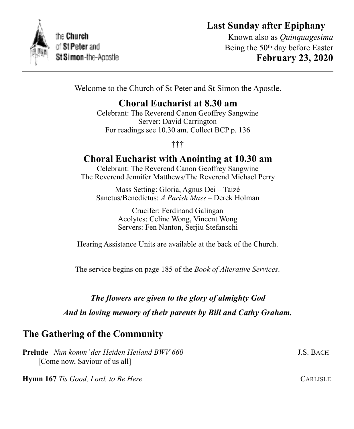

# **Last Sunday after Epiphany**

 Known also as *Quinquagesima*  $\sigma$  Being the 50<sup>th</sup> day before Easter **St Simon-the-Apostle February 23, 2020** 

Welcome to the Church of St Peter and St Simon the Apostle.

# **Choral Eucharist at 8.30 am**

Celebrant: The Reverend Canon Geoffrey Sangwine Server: David Carrington For readings see 10.30 am. Collect BCP p. 136

†††

# **Choral Eucharist with Anointing at 10.30 am**

Celebrant: The Reverend Canon Geoffrey Sangwine The Reverend Jennifer Matthews/The Reverend Michael Perry

Mass Setting: Gloria, Agnus Dei – Taizé Sanctus/Benedictus: *A Parish Mass* – Derek Holman

> Crucifer: Ferdinand Galingan Acolytes: Celine Wong, Vincent Wong Servers: Fen Nanton, Serjiu Stefanschi

Hearing Assistance Units are available at the back of the Church.

The service begins on page 185 of the *Book of Alterative Services*.

# *The flowers are given to the glory of almighty God*

*And in loving memory of their parents by Bill and Cathy Graham.* 

# **The Gathering of the Community**

**Prelude** *Nun komm' der Heiden Heiland BWV 660* J.S. BACH [Come now, Saviour of us all]

**Hymn 167** *Tis Good, Lord, to Be Here* CARLISLE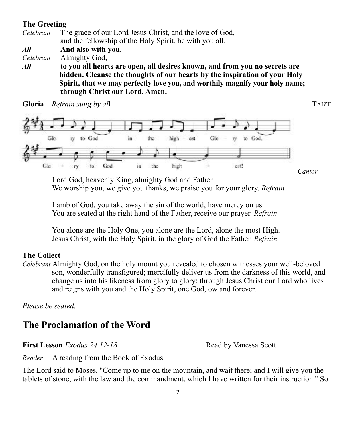#### **The Greeting**

- *Celebrant* The grace of our Lord Jesus Christ, and the love of God, and the fellowship of the Holy Spirit, be with you all.
- *All* **And also with you.**

*Celebrant* Almighty God,

*All* **to you all hearts are open, all desires known, and from you no secrets are hidden. Cleanse the thoughts of our hearts by the inspiration of your Holy Spirit, that we may perfectly love you, and worthily magnify your holy name; through Christ our Lord. Amen.**

**Gloria** *Refrain sung by al*l TAIZE



*Cantor*

Lord God, heavenly King, almighty God and Father. We worship you, we give you thanks, we praise you for your glory. *Refrain* 

Lamb of God, you take away the sin of the world, have mercy on us. You are seated at the right hand of the Father, receive our prayer. *Refrain*

You alone are the Holy One, you alone are the Lord, alone the most High. Jesus Christ, with the Holy Spirit, in the glory of God the Father. *Refrain* 

#### **The Collect**

*Celebrant* Almighty God, on the holy mount you revealed to chosen witnesses your well-beloved son, wonderfully transfigured; mercifully deliver us from the darkness of this world, and change us into his likeness from glory to glory; through Jesus Christ our Lord who lives and reigns with you and the Holy Spirit, one God, ow and forever.

*Please be seated.* 

# **The Proclamation of the Word**

**First Lesson** *Exodus* 24.12-18 **Read by Vanessa Scott** 

*Reader* A reading from the Book of Exodus.

The Lord said to Moses, "Come up to me on the mountain, and wait there; and I will give you the tablets of stone, with the law and the commandment, which I have written for their instruction." So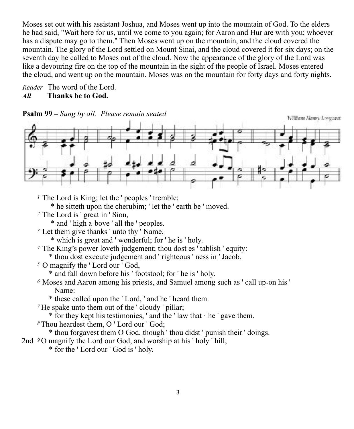Moses set out with his assistant Joshua, and Moses went up into the mountain of God. To the elders he had said, "Wait here for us, until we come to you again; for Aaron and Hur are with you; whoever has a dispute may go to them." Then Moses went up on the mountain, and the cloud covered the mountain. The glory of the Lord settled on Mount Sinai, and the cloud covered it for six days; on the seventh day he called to Moses out of the cloud. Now the appearance of the glory of the Lord was like a devouring fire on the top of the mountain in the sight of the people of Israel. Moses entered the cloud, and went up on the mountain. Moses was on the mountain for forty days and forty nights.

*Reader* The word of the Lord. *All* **Thanks be to God.**

**Psalm 99 –** *Sung by all. Please remain seated* 



*<sup>1</sup>*The Lord is King; let the ' peoples ' tremble;

\* he sitteth upon the cherubim; ' let the ' earth be ' moved.

*<sup>2</sup>*The Lord is ' great in ' Sion,

\* and ' high a-bove ' all the ' peoples.

<sup>3</sup> Let them give thanks ' unto thy ' Name,

\* which is great and ' wonderful; for ' he is ' holy.

*<sup>4</sup>*The King's power loveth judgement; thou dost es ' tablish ' equity:

\* thou dost execute judgement and ' righteous ' ness in ' Jacob.

*<sup>5</sup>*O magnify the ' Lord our ' God,

\* and fall down before his ' footstool; for ' he is ' holy.

<sup>6</sup> Moses and Aaron among his priests, and Samuel among such as ' call up·on his ' Name:

\* these called upon the ' Lord, ' and he ' heard them.

<sup>7</sup>He spake unto them out of the ' cloudy ' pillar;

\* for they kept his testimonies, ' and the ' law that · he ' gave them.

*<sup>8</sup>*Thou heardest them, O ' Lord our ' God;

\* thou forgavest them O God, though ' thou didst ' punish their ' doings.

2nd <sup>9</sup>O magnify the Lord our God, and worship at his 'holy 'hill;

\* for the ' Lord our ' God is ' holy.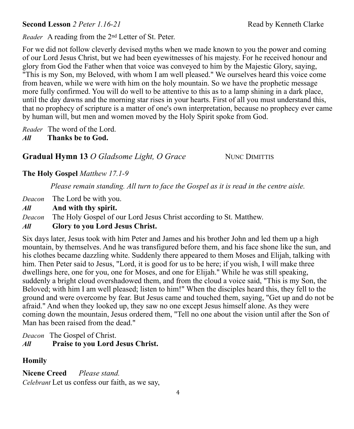#### **Second Lesson** 2 Peter 1.16-21 Read by Kenneth Clarke

*Reader* A reading from the 2nd Letter of St. Peter.

For we did not follow cleverly devised myths when we made known to you the power and coming of our Lord Jesus Christ, but we had been eyewitnesses of his majesty. For he received honour and glory from God the Father when that voice was conveyed to him by the Majestic Glory, saying, "This is my Son, my Beloved, with whom I am well pleased." We ourselves heard this voice come from heaven, while we were with him on the holy mountain. So we have the prophetic message more fully confirmed. You will do well to be attentive to this as to a lamp shining in a dark place, until the day dawns and the morning star rises in your hearts. First of all you must understand this, that no prophecy of scripture is a matter of one's own interpretation, because no prophecy ever came by human will, but men and women moved by the Holy Spirit spoke from God.

*Reader* The word of the Lord. *All* **Thanks be to God.**

**Gradual Hymn 13** *O Gladsome Light, O Grace* NUNC DIMITTIS

**The Holy Gospel** *Matthew 17.1-9* 

*Please remain standing. All turn to face the Gospel as it is read in the centre aisle.* 

*Deacon* The Lord be with you.

*All* **And with thy spirit.**

*Deacon* The Holy Gospel of our Lord Jesus Christ according to St. Matthew.

# *All* **Glory to you Lord Jesus Christ.**

Six days later, Jesus took with him Peter and James and his brother John and led them up a high mountain, by themselves. And he was transfigured before them, and his face shone like the sun, and his clothes became dazzling white. Suddenly there appeared to them Moses and Elijah, talking with him. Then Peter said to Jesus, "Lord, it is good for us to be here; if you wish, I will make three dwellings here, one for you, one for Moses, and one for Elijah." While he was still speaking, suddenly a bright cloud overshadowed them, and from the cloud a voice said, "This is my Son, the Beloved; with him I am well pleased; listen to him!" When the disciples heard this, they fell to the ground and were overcome by fear. But Jesus came and touched them, saying, "Get up and do not be afraid." And when they looked up, they saw no one except Jesus himself alone. As they were coming down the mountain, Jesus ordered them, "Tell no one about the vision until after the Son of Man has been raised from the dead."

*Deacon* The Gospel of Christ. *All* **Praise to you Lord Jesus Christ.** 

## **Homily**

**Nicene Creed** *Please stand. Celebrant* Let us confess our faith, as we say,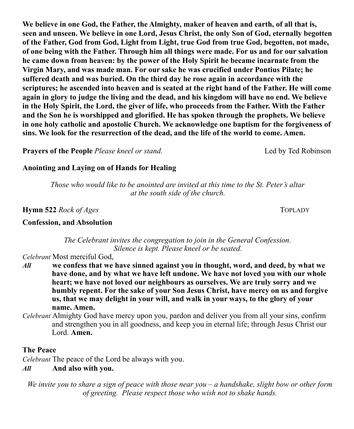**We believe in one God, the Father, the Almighty, maker of heaven and earth, of all that is, seen and unseen. We believe in one Lord, Jesus Christ, the only Son of God, eternally begotten of the Father, God from God, Light from Light, true God from true God, begotten, not made, of one being with the Father. Through him all things were made. For us and for our salvation he came down from heaven: by the power of the Holy Spirit he became incarnate from the Virgin Mary, and was made man. For our sake he was crucified under Pontius Pilate; he suffered death and was buried. On the third day he rose again in accordance with the scriptures; he ascended into heaven and is seated at the right hand of the Father. He will come again in glory to judge the living and the dead, and his kingdom will have no end. We believe in the Holy Spirit, the Lord, the giver of life, who proceeds from the Father. With the Father and the Son he is worshipped and glorified. He has spoken through the prophets. We believe in one holy catholic and apostolic Church. We acknowledge one baptism for the forgiveness of sins. We look for the resurrection of the dead, and the life of the world to come. Amen.** 

**Prayers of the People** *Please kneel or stand.* Led by Ted Robinson

# **Anointing and Laying on of Hands for Healing**

*Those who would like to be anointed are invited at this time to the St. Peter's altar at the south side of the church.* 

**Hymn 522** *Rock of Ages* **TOPLADY TOPLADY** 

## **Confession, and Absolution**

*The Celebrant invites the congregation to join in the General Confession. Silence is kept. Please kneel or be seated.* 

*Celebrant* Most merciful God,

- *All* **we confess that we have sinned against you in thought, word, and deed, by what we have done, and by what we have left undone. We have not loved you with our whole heart; we have not loved our neighbours as ourselves. We are truly sorry and we humbly repent. For the sake of your Son Jesus Christ, have mercy on us and forgive us, that we may delight in your will, and walk in your ways, to the glory of your name. Amen.**
- *Celebrant* Almighty God have mercy upon you, pardon and deliver you from all your sins, confirm and strengthen you in all goodness, and keep you in eternal life; through Jesus Christ our Lord. **Amen.**

## **The Peace**

*Celebrant* The peace of the Lord be always with you.

*All* **And also with you.** 

5 *of greeting. Please respect those who wish not to shake hands. We invite you to share a sign of peace with those near you – a handshake, slight bow or other form*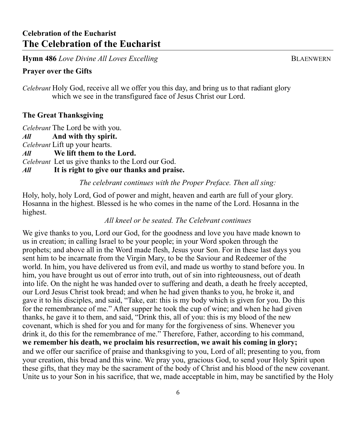**Hymn 486** *Love Divine All Loves Excelling* **BLAENWERN BLAENWERN** 

#### **Prayer over the Gifts**

*Celebrant* Holy God, receive all we offer you this day, and bring us to that radiant glory which we see in the transfigured face of Jesus Christ our Lord.

#### **The Great Thanksgiving**

*Celebrant* The Lord be with you. *All* **And with thy spirit.** *Celebrant* Lift up your hearts. *All* **We lift them to the Lord.**  *Celebrant* Let us give thanks to the Lord our God. *All* **It is right to give our thanks and praise.** 

## *The celebrant continues with the Proper Preface. Then all sing:*

Holy, holy, holy Lord, God of power and might, heaven and earth are full of your glory. Hosanna in the highest. Blessed is he who comes in the name of the Lord. Hosanna in the highest.

### *All kneel or be seated. The Celebrant continues*

We give thanks to you, Lord our God, for the goodness and love you have made known to us in creation; in calling Israel to be your people; in your Word spoken through the prophets; and above all in the Word made flesh, Jesus your Son. For in these last days you sent him to be incarnate from the Virgin Mary, to be the Saviour and Redeemer of the world. In him, you have delivered us from evil, and made us worthy to stand before you. In him, you have brought us out of error into truth, out of sin into righteousness, out of death into life. On the night he was handed over to suffering and death, a death he freely accepted, our Lord Jesus Christ took bread; and when he had given thanks to you, he broke it, and gave it to his disciples, and said, "Take, eat: this is my body which is given for you. Do this for the remembrance of me." After supper he took the cup of wine; and when he had given thanks, he gave it to them, and said, "Drink this, all of you: this is my blood of the new covenant, which is shed for you and for many for the forgiveness of sins. Whenever you drink it, do this for the remembrance of me." Therefore, Father, according to his command, **we remember his death, we proclaim his resurrection, we await his coming in glory;**  and we offer our sacrifice of praise and thanksgiving to you, Lord of all; presenting to you, from your creation, this bread and this wine. We pray you, gracious God, to send your Holy Spirit upon these gifts, that they may be the sacrament of the body of Christ and his blood of the new covenant. Unite us to your Son in his sacrifice, that we, made acceptable in him, may be sanctified by the Holy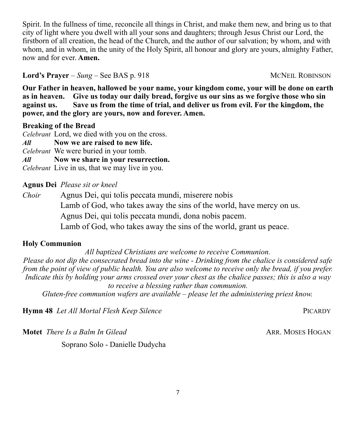Spirit. In the fullness of time, reconcile all things in Christ, and make them new, and bring us to that city of light where you dwell with all your sons and daughters; through Jesus Christ our Lord, the firstborn of all creation, the head of the Church, and the author of our salvation; by whom, and with whom, and in whom, in the unity of the Holy Spirit, all honour and glory are yours, almighty Father, now and for ever. **Amen.** 

**Lord's Prayer** – *Sung* – See BAS p. 918

**Our Father in heaven, hallowed be your name, your kingdom come, your will be done on earth as in heaven. Give us today our daily bread, forgive us our sins as we forgive those who sin against us. Save us from the time of trial, and deliver us from evil. For the kingdom, the power, and the glory are yours, now and forever. Amen.**

#### **Breaking of the Bread**

*Celebrant* Lord, we died with you on the cross. *All* **Now we are raised to new life.**  *Celebrant* We were buried in your tomb. *All* **Now we share in your resurrection.**  *Celebrant* Live in us, that we may live in you.

#### **Agnus Dei** *Please sit or kneel*

*Choir* Agnus Dei, qui tolis peccata mundi, miserere nobis Lamb of God, who takes away the sins of the world, have mercy on us. Agnus Dei, qui tolis peccata mundi, dona nobis pacem. Lamb of God, who takes away the sins of the world, grant us peace.

## **Holy Communion**

*All baptized Christians are welcome to receive Communion. Please do not dip the consecrated bread into the wine - Drinking from the chalice is considered safe from the point of view of public health. You are also welcome to receive only the bread, if you prefer. Indicate this by holding your arms crossed over your chest as the chalice passes; this is also a way to receive a blessing rather than communion.* 

*Gluten-free communion wafers are available – please let the administering priest know.* 

**Hymn 48** *Let All Mortal Flesh Keep Silence* PICARDY

**Motet** *There Is a Balm In Gilead* ARR. MOSES HOGAN

 Soprano Solo - Danielle Dudycha